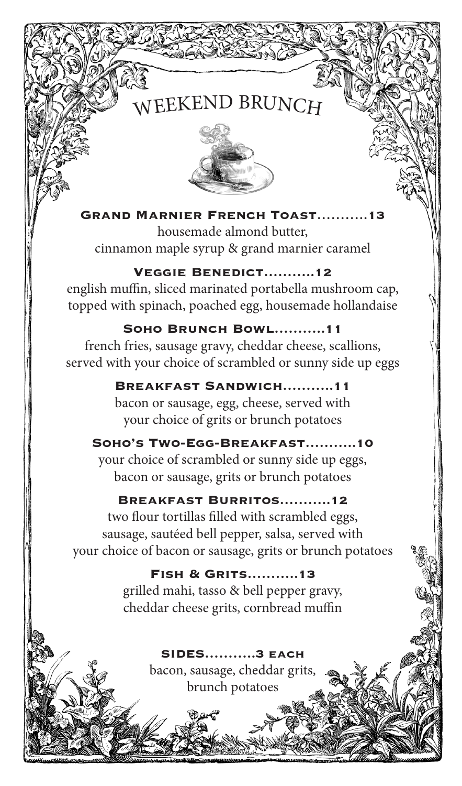# WEEKEND BRUNCH



**Grand Marnier French Toast**………..**13**  housemade almond butter, cinnamon maple syrup & grand marnier caramel

## **Veggie Benedict………..12**

english muffin, sliced marinated portabella mushroom cap, topped with spinach, poached egg, housemade hollandaise

# **Soho Brunch Bowl………..11**

french fries, sausage gravy, cheddar cheese, scallions, served with your choice of scrambled or sunny side up eggs

# **Breakfast Sandwich………..11**

bacon or sausage, egg, cheese, served with your choice of grits or brunch potatoes

# **Soho's Two-Egg-Breakfast………..10**

your choice of scrambled or sunny side up eggs, bacon or sausage, grits or brunch potatoes

## **Breakfast Burritos………..12**

two flour tortillas filled with scrambled eggs, sausage, sautéed bell pepper, salsa, served with your choice of bacon or sausage, grits or brunch potatoes

> **Fish & Grits………..13** grilled mahi, tasso & bell pepper gravy, cheddar cheese grits, cornbread muffin

> > **SIDES………..3 each** bacon, sausage, cheddar grits, brunch potatoes